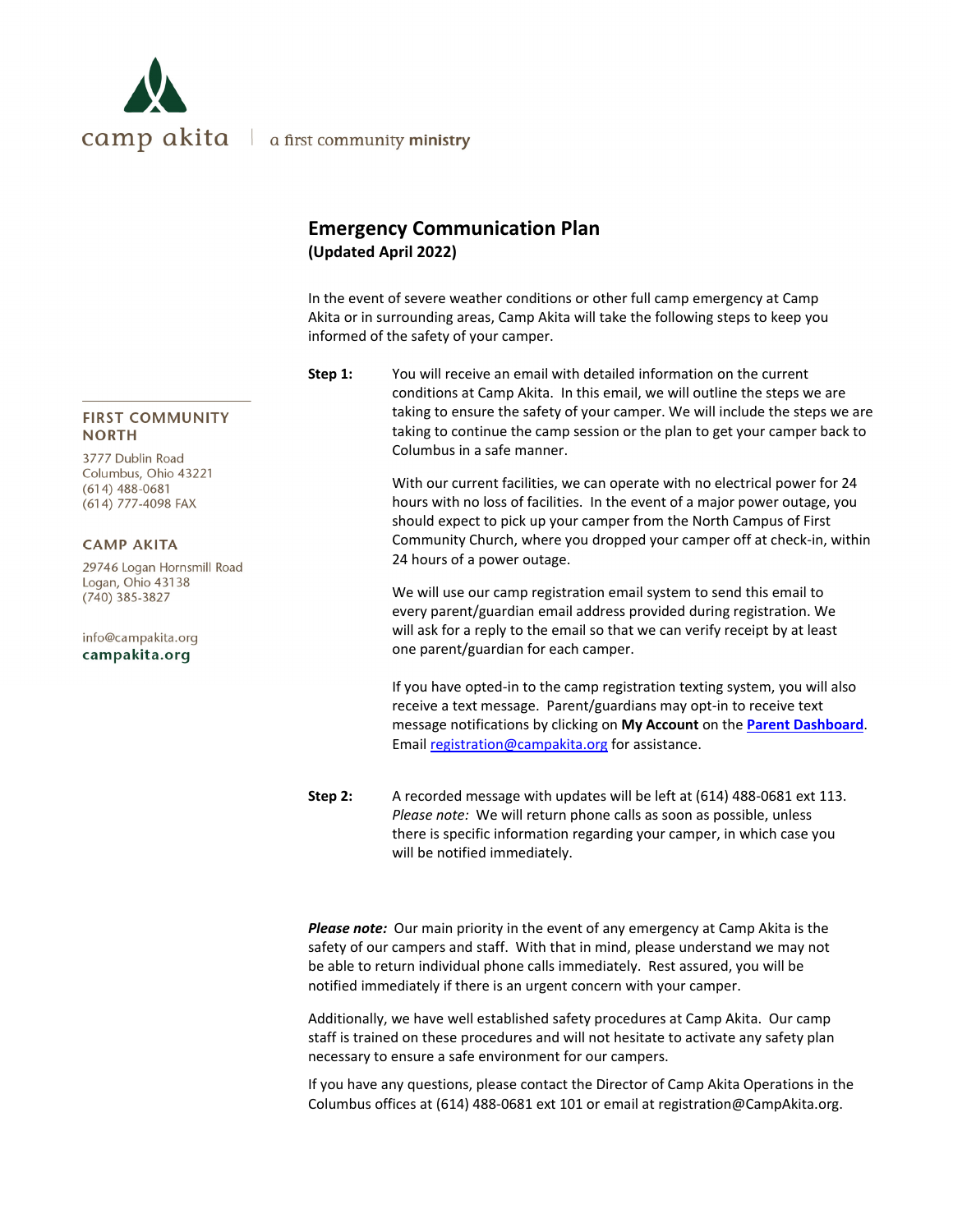

# **Emergency Communication Plan (Updated April 2022)**

In the event of severe weather conditions or other full camp emergency at Camp Akita or in surrounding areas, Camp Akita will take the following steps to keep you informed of the safety of your camper.

**Step 1:** You will receive an email with detailed information on the current conditions at Camp Akita. In this email, we will outline the steps we are taking to ensure the safety of your camper. We will include the steps we are taking to continue the camp session or the plan to get your camper back to Columbus in a safe manner.

> With our current facilities, we can operate with no electrical power for 24 hours with no loss of facilities. In the event of a major power outage, you should expect to pick up your camper from the North Campus of First Community Church, where you dropped your camper off at check‐in, within 24 hours of a power outage.

We will use our camp registration email system to send this email to every parent/guardian email address provided during registration. We will ask for a reply to the email so that we can verify receipt by at least one parent/guardian for each camper.

If you have opted‐in to the camp registration texting system, you will also receive a text message. Parent/guardians may opt‐in to receive text message notifications by clicking on **My Account** on the **Parent Dashboard**. Email registration@campakita.org for assistance.

**Step 2:** A recorded message with updates will be left at (614) 488‐0681 ext 113. *Please note:* We will return phone calls as soon as possible, unless there is specific information regarding your camper, in which case you will be notified immediately.

*Please note:* Our main priority in the event of any emergency at Camp Akita is the safety of our campers and staff. With that in mind, please understand we may not be able to return individual phone calls immediately. Rest assured, you will be notified immediately if there is an urgent concern with your camper.

Additionally, we have well established safety procedures at Camp Akita. Our camp staff is trained on these procedures and will not hesitate to activate any safety plan necessary to ensure a safe environment for our campers.

If you have any questions, please contact the Director of Camp Akita Operations in the Columbus offices at (614) 488‐0681 ext 101 or email at registration@CampAkita.org.

### **FIRST COMMUNITY NORTH**

3777 Dublin Road Columbus, Ohio 43221  $(614)$  488-0681 (614) 777-4098 FAX

### **CAMP AKITA**

29746 Logan Hornsmill Road Logan, Ohio 43138  $(740)$  385-3827

info@campakita.org campakita.org